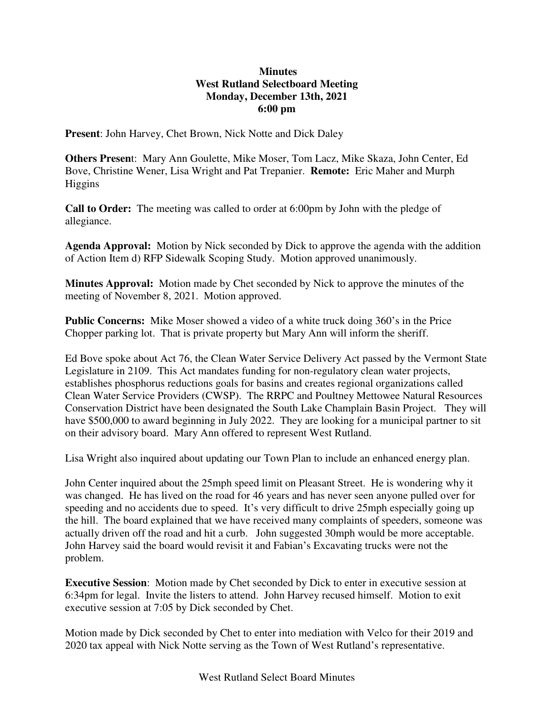## **Minutes West Rutland Selectboard Meeting Monday, December 13th, 2021 6:00 pm**

**Present**: John Harvey, Chet Brown, Nick Notte and Dick Daley

**Others Presen**t: Mary Ann Goulette, Mike Moser, Tom Lacz, Mike Skaza, John Center, Ed Bove, Christine Wener, Lisa Wright and Pat Trepanier. **Remote:** Eric Maher and Murph Higgins

**Call to Order:** The meeting was called to order at 6:00pm by John with the pledge of allegiance.

**Agenda Approval:** Motion by Nick seconded by Dick to approve the agenda with the addition of Action Item d) RFP Sidewalk Scoping Study. Motion approved unanimously.

**Minutes Approval:** Motion made by Chet seconded by Nick to approve the minutes of the meeting of November 8, 2021. Motion approved.

**Public Concerns:** Mike Moser showed a video of a white truck doing 360's in the Price Chopper parking lot. That is private property but Mary Ann will inform the sheriff.

Ed Bove spoke about Act 76, the Clean Water Service Delivery Act passed by the Vermont State Legislature in 2109. This Act mandates funding for non-regulatory clean water projects, establishes phosphorus reductions goals for basins and creates regional organizations called Clean Water Service Providers (CWSP). The RRPC and Poultney Mettowee Natural Resources Conservation District have been designated the South Lake Champlain Basin Project. They will have \$500,000 to award beginning in July 2022. They are looking for a municipal partner to sit on their advisory board. Mary Ann offered to represent West Rutland.

Lisa Wright also inquired about updating our Town Plan to include an enhanced energy plan.

John Center inquired about the 25mph speed limit on Pleasant Street. He is wondering why it was changed. He has lived on the road for 46 years and has never seen anyone pulled over for speeding and no accidents due to speed. It's very difficult to drive 25mph especially going up the hill. The board explained that we have received many complaints of speeders, someone was actually driven off the road and hit a curb. John suggested 30mph would be more acceptable. John Harvey said the board would revisit it and Fabian's Excavating trucks were not the problem.

**Executive Session**: Motion made by Chet seconded by Dick to enter in executive session at 6:34pm for legal. Invite the listers to attend. John Harvey recused himself. Motion to exit executive session at 7:05 by Dick seconded by Chet.

Motion made by Dick seconded by Chet to enter into mediation with Velco for their 2019 and 2020 tax appeal with Nick Notte serving as the Town of West Rutland's representative.

West Rutland Select Board Minutes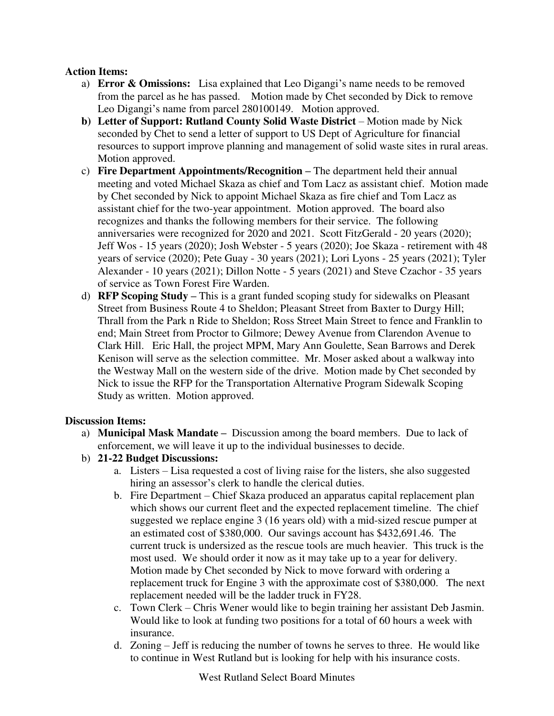# **Action Items:**

- a) **Error & Omissions:** Lisa explained that Leo Digangi's name needs to be removed from the parcel as he has passed. Motion made by Chet seconded by Dick to remove Leo Digangi's name from parcel 280100149. Motion approved.
- **b)** Letter of Support: Rutland County Solid Waste District Motion made by Nick seconded by Chet to send a letter of support to US Dept of Agriculture for financial resources to support improve planning and management of solid waste sites in rural areas. Motion approved.
- c) **Fire Department Appointments/Recognition –** The department held their annual meeting and voted Michael Skaza as chief and Tom Lacz as assistant chief. Motion made by Chet seconded by Nick to appoint Michael Skaza as fire chief and Tom Lacz as assistant chief for the two-year appointment. Motion approved. The board also recognizes and thanks the following members for their service. The following anniversaries were recognized for 2020 and 2021. Scott FitzGerald - 20 years (2020); Jeff Wos - 15 years (2020); Josh Webster - 5 years (2020); Joe Skaza - retirement with 48 years of service (2020); Pete Guay - 30 years (2021); Lori Lyons - 25 years (2021); Tyler Alexander - 10 years (2021); Dillon Notte - 5 years (2021) and Steve Czachor - 35 years of service as Town Forest Fire Warden.
- d) **RFP Scoping Study –** This is a grant funded scoping study for sidewalks on Pleasant Street from Business Route 4 to Sheldon; Pleasant Street from Baxter to Durgy Hill; Thrall from the Park n Ride to Sheldon; Ross Street Main Street to fence and Franklin to end; Main Street from Proctor to Gilmore; Dewey Avenue from Clarendon Avenue to Clark Hill. Eric Hall, the project MPM, Mary Ann Goulette, Sean Barrows and Derek Kenison will serve as the selection committee. Mr. Moser asked about a walkway into the Westway Mall on the western side of the drive. Motion made by Chet seconded by Nick to issue the RFP for the Transportation Alternative Program Sidewalk Scoping Study as written. Motion approved.

# **Discussion Items:**

- a) **Municipal Mask Mandate –** Discussion among the board members. Due to lack of enforcement, we will leave it up to the individual businesses to decide.
- b) **21-22 Budget Discussions:**
	- a. Listers Lisa requested a cost of living raise for the listers, she also suggested hiring an assessor's clerk to handle the clerical duties.
	- b. Fire Department Chief Skaza produced an apparatus capital replacement plan which shows our current fleet and the expected replacement timeline. The chief suggested we replace engine 3 (16 years old) with a mid-sized rescue pumper at an estimated cost of \$380,000. Our savings account has \$432,691.46. The current truck is undersized as the rescue tools are much heavier. This truck is the most used. We should order it now as it may take up to a year for delivery. Motion made by Chet seconded by Nick to move forward with ordering a replacement truck for Engine 3 with the approximate cost of \$380,000. The next replacement needed will be the ladder truck in FY28.
	- c. Town Clerk Chris Wener would like to begin training her assistant Deb Jasmin. Would like to look at funding two positions for a total of 60 hours a week with insurance.
	- d. Zoning Jeff is reducing the number of towns he serves to three. He would like to continue in West Rutland but is looking for help with his insurance costs.